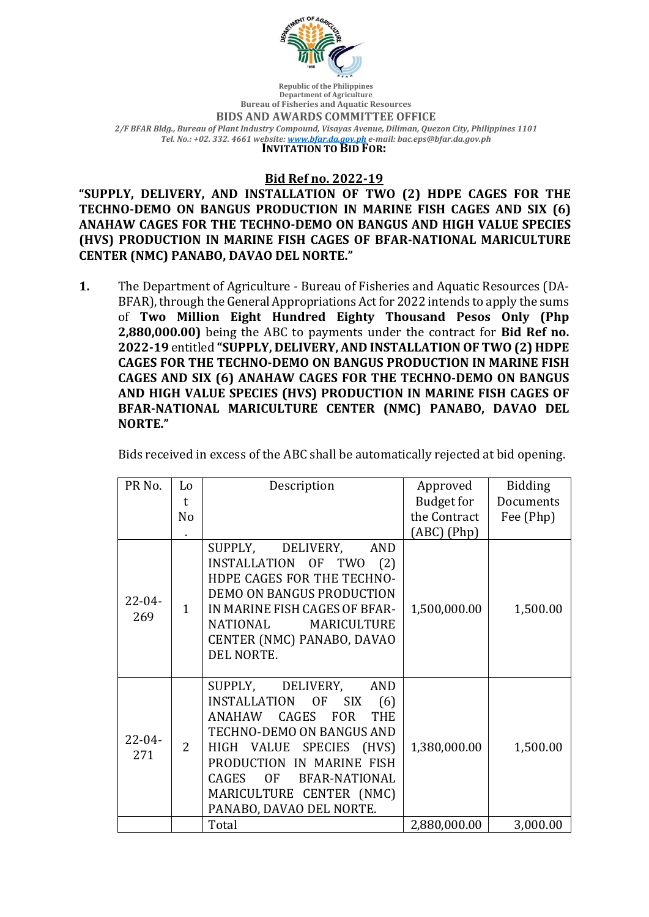

**Republic of the Philippines Department of Agriculture Bureau of Fisheries and Aquatic Resources BIDS AND AWARDS COMMITTEE OFFICE** *2/F BFAR Bldg., Bureau of Plant Industry Compound, Visayas Avenue, Diliman, Quezon City, Philippines 1101 Tel. No.: +02. 332. 4661 website: www.bfar.da.gov.ph e-mail: bac.eps@bfar.da.gov.ph* **INVITATION TO BID FOR:** 

## **Bid Ref no. 2022-19**

"SUPPLY, DELIVERY, AND INSTALLATION OF TWO (2) HDPE CAGES FOR THE TECHNO-DEMO ON BANGUS PRODUCTION IN MARINE FISH CAGES AND SIX (6) ANAHAW CAGES FOR THE TECHNO-DEMO ON BANGUS AND HIGH VALUE SPECIES **(HVS) PRODUCTION IN MARINE FISH CAGES OF BFAR-NATIONAL MARICULTURE CENTER (NMC) PANABO, DAVAO DEL NORTE."** 

**1.** The Department of Agriculture - Bureau of Fisheries and Aquatic Resources (DA-BFAR), through the General Appropriations Act for 2022 intends to apply the sums of Two Million Eight Hundred Eighty Thousand Pesos Only (Php **2,880,000.00)** being the ABC to payments under the contract for **Bid Ref no.** 2022-19 entitled "SUPPLY, DELIVERY, AND INSTALLATION OF TWO (2) HDPE **CAGES FOR THE TECHNO-DEMO ON BANGUS PRODUCTION IN MARINE FISH CAGES AND SIX (6) ANAHAW CAGES FOR THE TECHNO-DEMO ON BANGUS** AND HIGH VALUE SPECIES (HVS) PRODUCTION IN MARINE FISH CAGES OF BFAR-NATIONAL MARICULTURE CENTER (NMC) PANABO, DAVAO DEL **NORTE."**

Bids received in excess of the ABC shall be automatically rejected at bid opening.

| PR No.             | Lo             | Description                                                                                                                                                                                                                                                                                                              | Approved      | <b>Bidding</b> |
|--------------------|----------------|--------------------------------------------------------------------------------------------------------------------------------------------------------------------------------------------------------------------------------------------------------------------------------------------------------------------------|---------------|----------------|
|                    | $\mathsf{t}$   |                                                                                                                                                                                                                                                                                                                          | Budget for    | Documents      |
|                    | N <sub>o</sub> |                                                                                                                                                                                                                                                                                                                          | the Contract  | Fee (Php)      |
|                    |                |                                                                                                                                                                                                                                                                                                                          | $(ABC)$ (Php) |                |
| $22 - 04 -$<br>269 | $\mathbf{1}$   | SUPPLY, DELIVERY,<br><b>AND</b><br>INSTALLATION OF<br><b>TWO</b><br>(2)<br>HDPE CAGES FOR THE TECHNO-<br><b>DEMO ON BANGUS PRODUCTION</b><br>IN MARINE FISH CAGES OF BFAR-<br>NATIONAL<br>MARICULTURE<br>CENTER (NMC) PANABO, DAVAO<br>DEL NORTE.                                                                        | 1,500,000.00  | 1,500.00       |
| $22 - 04 -$<br>271 | 2              | SUPPLY,<br>DELIVERY,<br><b>AND</b><br>INSTALLATION OF<br><b>SIX</b><br>(6)<br>CAGES<br><b>ANAHAW</b><br><b>FOR</b><br><b>THE</b><br>TECHNO-DEMO ON BANGUS AND<br>HIGH VALUE<br>SPECIES (HVS)<br>PRODUCTION IN MARINE FISH<br>CAGES<br>OF<br><b>BFAR-NATIONAL</b><br>MARICULTURE CENTER (NMC)<br>PANABO, DAVAO DEL NORTE. | 1,380,000.00  | 1,500.00       |
|                    |                | Total                                                                                                                                                                                                                                                                                                                    | 2,880,000.00  | 3,000.00       |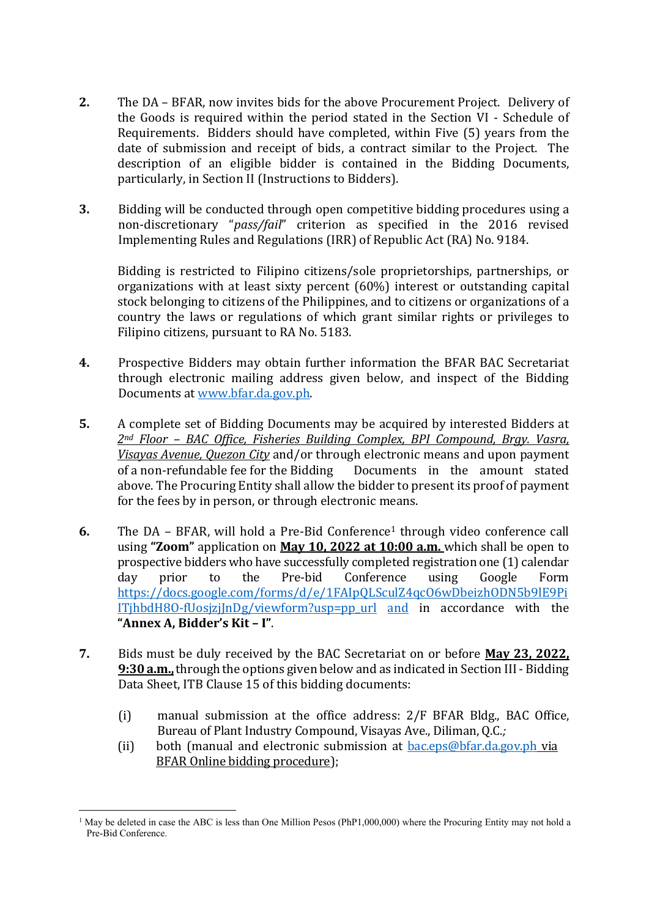- **2.** The DA BFAR, now invites bids for the above Procurement Project. Delivery of the Goods is required within the period stated in the Section VI - Schedule of Requirements. Bidders should have completed, within Five (5) years from the date of submission and receipt of bids, a contract similar to the Project. The description of an eligible bidder is contained in the Bidding Documents, particularly, in Section II (Instructions to Bidders).
- **3.** Bidding will be conducted through open competitive bidding procedures using a non-discretionary "pass/fail" criterion as specified in the 2016 revised Implementing Rules and Regulations (IRR) of Republic Act (RA) No. 9184.

Bidding is restricted to Filipino citizens/sole proprietorships, partnerships, or organizations with at least sixty percent  $(60%)$  interest or outstanding capital stock belonging to citizens of the Philippines, and to citizens or organizations of a country the laws or regulations of which grant similar rights or privileges to Filipino citizens, pursuant to RA No. 5183.

- **4.** Prospective Bidders may obtain further information the BFAR BAC Secretariat through electronic mailing address given below, and inspect of the Bidding Documents at www.bfar.da.gov.ph.
- **5.** A complete set of Bidding Documents may be acquired by interested Bidders at 2<sup>nd</sup> Floor – BAC Office, Fisheries Building Complex, BPI Compound, Brgy. Vasra, *Visayas Avenue, Quezon City* and/or through electronic means and upon payment of a non-refundable fee for the Bidding Documents in the amount stated above. The Procuring Entity shall allow the bidder to present its proof of payment for the fees by in person, or through electronic means.
- **6.** The DA BFAR, will hold a Pre-Bid Conference<sup>1</sup> through video conference call using "**Zoom**" application on **May 10, 2022 at 10:00 a.m.** which shall be open to prospective bidders who have successfully completed registration one (1) calendar day prior to the Pre-bid Conference using Google Form https://docs.google.com/forms/d/e/1FAIpQLSculZ4qcO6wDbeizhODN5b9lE9Pi  $IThbdH8O-fUosjziInDg/viewform?usp=ppurl and in accordance with the$ **"Annex A, Bidder's Kit – I"**.
- **7.** Bids must be duly received by the BAC Secretariat on or before **May 23, 2022. 9:30 a.m.,** through the options given below and as indicated in Section III - Bidding Data Sheet, ITB Clause 15 of this bidding documents:
	- (i) manual submission at the office address:  $2/F$  BFAR Bldg., BAC Office, Bureau of Plant Industry Compound, Visayas Ave., Diliman, Q.C.;
	- (ii) both (manual and electronic submission at  $bac.eps@bfar.da.gov.ph$  via BFAR Online bidding procedure);

<sup>&</sup>lt;sup>1</sup> May be deleted in case the ABC is less than One Million Pesos (PhP1,000,000) where the Procuring Entity may not hold a Pre-Bid Conference.